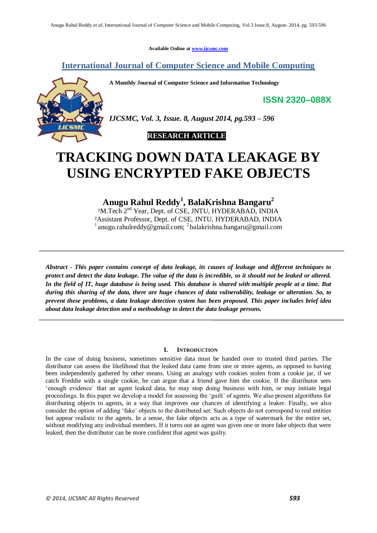**Available Online at www.ijcsmc.com**

### **International Journal of Computer Science and Mobile Computing**

**A Monthly Journal of Computer Science and Information Technology**

**ISSN 2320–088X**



*IJCSMC, Vol. 3, Issue. 8, August 2014, pg.593 – 596*



# **TRACKING DOWN DATA LEAKAGE BY USING ENCRYPTED FAKE OBJECTS**

## **Anugu Rahul Reddy<sup>1</sup> , BalaKrishna Bangaru<sup>2</sup>**

<sup>1</sup>M.Tech 2<sup>nd</sup> Year, Dept. of CSE, JNTU, HYDERABAD, INDIA ²Assistant Professor, Dept. of CSE, JNTU, HYDERABAD, INDIA <sup>1</sup> anugu.rahulreddy@gmail.com; <sup>2</sup> balakrishna.bangaru@gmail.com

*Abstract - This paper contains concept of data leakage, its causes of leakage and different techniques to protect and detect the data leakage. The value of the data is incredible, so it should not be leaked or altered. In the field of IT, huge database is being used. This database is shared with multiple people at a time. But during this sharing of the data, there are huge chances of data vulnerability, leakage or alteration. So, to prevent these problems, a data leakage detection system has been proposed. This paper includes brief idea about data leakage detection and a methodology to detect the data leakage persons.*

#### **I. INTRODUCTION**

In the case of doing business, sometimes sensitive data must be handed over to trusted third parties. The distributor can assess the likelihood that the leaked data came from one or more agents, as opposed to having been independently gathered by other means. Using an analogy with cookies stolen from a cookie jar, if we catch Freddie with a single cookie, he can argue that a friend gave him the cookie. If the distributor sees 'enough evidence´ that an agent leaked data, he may stop doing business with him, or may initiate legal proceedings. In this paper we develop a model for assessing the 'guilt´ of agents. We also present algorithms for distributing objects to agents, in a way that improves our chances of identifying a leaker. Finally, we also consider the option of adding 'fake´ objects to the distributed set. Such objects do not correspond to real entities but appear realistic to the agents. In a sense, the fake objects acts as a type of watermark for the entire set, without modifying any individual members. If it turns out an agent was given one or more fake objects that were leaked, then the distributor can be more confident that agent was guilty.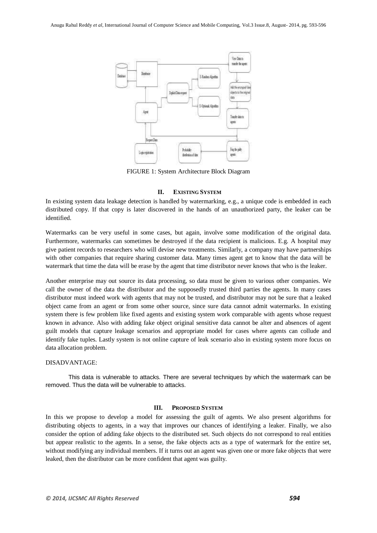

FIGURE 1: System Architecture Block Diagram

#### **II. EXISTING SYSTEM**

In existing system data leakage detection is handled by watermarking, e.g., a unique code is embedded in each distributed copy. If that copy is later discovered in the hands of an unauthorized party, the leaker can be identified.

Watermarks can be very useful in some cases, but again, involve some modification of the original data. Furthermore, watermarks can sometimes be destroyed if the data recipient is malicious. E.g. A hospital may give patient records to researchers who will devise new treatments. Similarly, a company may have partnerships with other companies that require sharing customer data. Many times agent get to know that the data will be watermark that time the data will be erase by the agent that time distributor never knows that who is the leaker.

Another enterprise may out source its data processing, so data must be given to various other companies. We call the owner of the data the distributor and the supposedly trusted third parties the agents. In many cases distributor must indeed work with agents that may not be trusted, and distributor may not be sure that a leaked object came from an agent or from some other source, since sure data cannot admit watermarks. In existing system there is few problem like fixed agents and existing system work comparable with agents whose request known in advance. Also with adding fake object original sensitive data cannot be alter and absences of agent guilt models that capture leakage scenarios and appropriate model for cases where agents can collude and identify fake tuples. Lastly system is not online capture of leak scenario also in existing system more focus on data allocation problem.

#### DISADVANTAGE:

This data is vulnerable to attacks. There are several techniques by which the watermark can be removed. Thus the data will be vulnerable to attacks.

#### **III. PROPOSED SYSTEM**

In this we propose to develop a model for assessing the guilt of agents. We also present algorithms for distributing objects to agents, in a way that improves our chances of identifying a leaker. Finally, we also consider the option of adding fake objects to the distributed set. Such objects do not correspond to real entities but appear realistic to the agents. In a sense, the fake objects acts as a type of watermark for the entire set, without modifying any individual members. If it turns out an agent was given one or more fake objects that were leaked, then the distributor can be more confident that agent was guilty.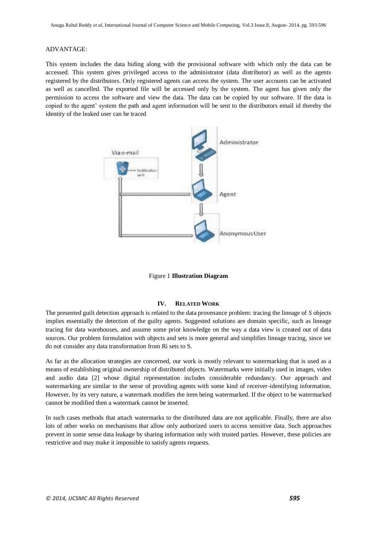#### ADVANTAGE:

This system includes the data hiding along with the provisional software with which only the data can be accessed. This system gives privileged access to the administrator (data distributor) as well as the agents registered by the distributors. Only registered agents can access the system. The user accounts can be activated as well as cancelled. The exported file will be accessed only by the system. The agent has given only the permission to access the software and view the data. The data can be copied by our software. If the data is copied to the agent' system the path and agent information will be sent to the distributors email id thereby the identity of the leaked user can be traced





#### **IV. RELATED WORK**

The presented guilt detection approach is related to the data provenance problem: tracing the lineage of *S* objects implies essentially the detection of the guilty agents. Suggested solutions are domain specific, such as lineage tracing for data warehouses, and assume some prior knowledge on the way a data view is created out of data sources. Our problem formulation with objects and sets is more general and simplifies lineage tracing, since we do not consider any data transformation from Ri sets to S.

As far as the allocation strategies are concerned, our work is mostly relevant to watermarking that is used as a means of establishing original ownership of distributed objects. Watermarks were initially used in images, video and audio data [2] whose digital representation includes considerable redundancy. Our approach and watermarking are similar in the sense of providing agents with some kind of receiver-identifying information. However, by its very nature, a watermark modifies the item being watermarked. If the object to be watermarked cannot be modified then a watermark cannot be inserted.

In such cases methods that attach watermarks to the distributed data are not applicable. Finally, there are also lots of other works on mechanisms that allow only authorized users to access sensitive data. Such approaches prevent in some sense data leakage by sharing information only with trusted parties. However, these policies are restrictive and may make it impossible to satisfy agents requests.